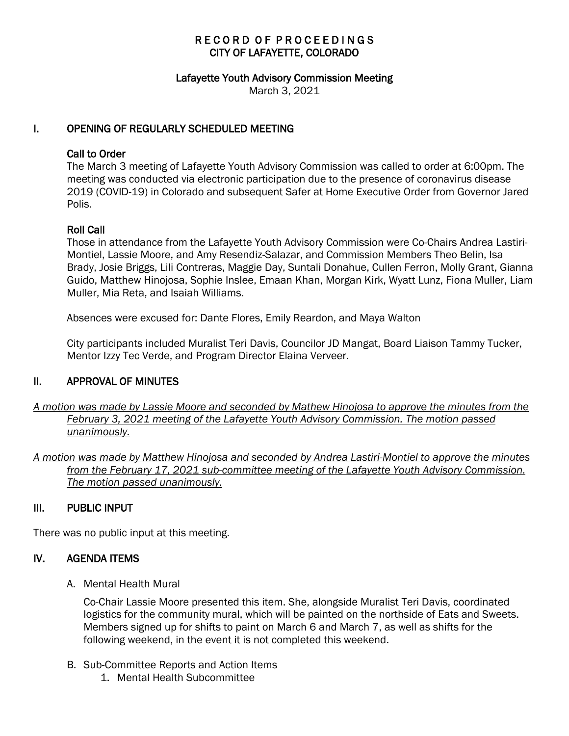# RECORD OF PROCEEDINGS CITY OF LAFAYETTE, COLORADO

#### Lafayette Youth Advisory Commission Meeting

March 3, 2021

### I. OPENING OF REGULARLY SCHEDULED MEETING

#### Call to Order

The March 3 meeting of Lafayette Youth Advisory Commission was called to order at 6:00pm. The meeting was conducted via electronic participation due to the presence of coronavirus disease 2019 (COVID-19) in Colorado and subsequent Safer at Home Executive Order from Governor Jared Polis.

### Roll Call

Those in attendance from the Lafayette Youth Advisory Commission were Co-Chairs Andrea Lastiri-Montiel, Lassie Moore, and Amy Resendiz-Salazar, and Commission Members Theo Belin, Isa Brady, Josie Briggs, Lili Contreras, Maggie Day, Suntali Donahue, Cullen Ferron, Molly Grant, Gianna Guido, Matthew Hinojosa, Sophie Inslee, Emaan Khan, Morgan Kirk, Wyatt Lunz, Fiona Muller, Liam Muller, Mia Reta, and Isaiah Williams.

Absences were excused for: Dante Flores, Emily Reardon, and Maya Walton

City participants included Muralist Teri Davis, Councilor JD Mangat, Board Liaison Tammy Tucker, Mentor Izzy Tec Verde, and Program Director Elaina Verveer.

#### II. APPROVAL OF MINUTES

- *A motion was made by Lassie Moore and seconded by Mathew Hinojosa to approve the minutes from the February 3, 2021 meeting of the Lafayette Youth Advisory Commission. The motion passed unanimously.*
- *A motion was made by Matthew Hinojosa and seconded by Andrea Lastiri-Montiel to approve the minutes from the February 17, 2021 sub-committee meeting of the Lafayette Youth Advisory Commission. The motion passed unanimously.*

# III. PUBLIC INPUT

There was no public input at this meeting.

### IV. AGENDA ITEMS

A. Mental Health Mural

Co-Chair Lassie Moore presented this item. She, alongside Muralist Teri Davis, coordinated logistics for the community mural, which will be painted on the northside of Eats and Sweets. Members signed up for shifts to paint on March 6 and March 7, as well as shifts for the following weekend, in the event it is not completed this weekend.

- B. Sub-Committee Reports and Action Items
	- 1. Mental Health Subcommittee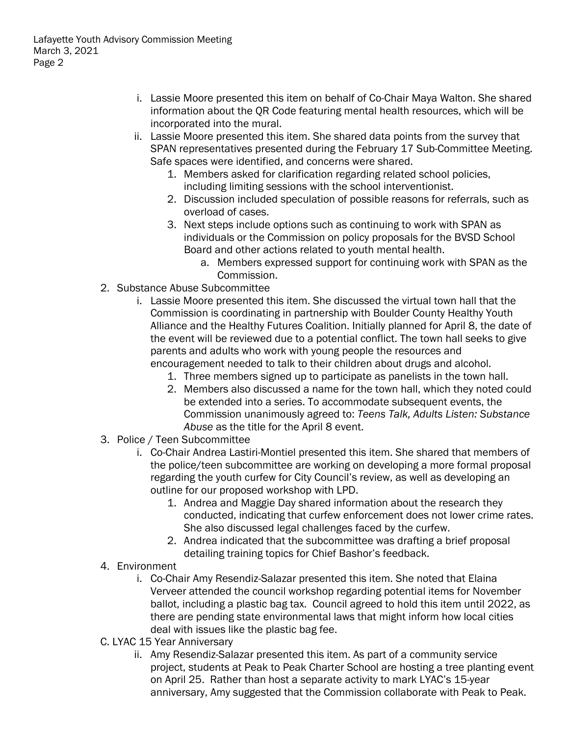- i. Lassie Moore presented this item on behalf of Co-Chair Maya Walton. She shared information about the QR Code featuring mental health resources, which will be incorporated into the mural.
- ii. Lassie Moore presented this item. She shared data points from the survey that SPAN representatives presented during the February 17 Sub-Committee Meeting. Safe spaces were identified, and concerns were shared.
	- 1. Members asked for clarification regarding related school policies, including limiting sessions with the school interventionist.
	- 2. Discussion included speculation of possible reasons for referrals, such as overload of cases.
	- 3. Next steps include options such as continuing to work with SPAN as individuals or the Commission on policy proposals for the BVSD School Board and other actions related to youth mental health.
		- a. Members expressed support for continuing work with SPAN as the Commission.
- 2. Substance Abuse Subcommittee
	- i. Lassie Moore presented this item. She discussed the virtual town hall that the Commission is coordinating in partnership with Boulder County Healthy Youth Alliance and the Healthy Futures Coalition. Initially planned for April 8, the date of the event will be reviewed due to a potential conflict. The town hall seeks to give parents and adults who work with young people the resources and encouragement needed to talk to their children about drugs and alcohol.
		- 1. Three members signed up to participate as panelists in the town hall.
		- 2. Members also discussed a name for the town hall, which they noted could be extended into a series. To accommodate subsequent events, the Commission unanimously agreed to: *Teens Talk, Adults Listen: Substance Abuse* as the title for the April 8 event.
- 3. Police / Teen Subcommittee
	- i. Co-Chair Andrea Lastiri-Montiel presented this item. She shared that members of the police/teen subcommittee are working on developing a more formal proposal regarding the youth curfew for City Council's review, as well as developing an outline for our proposed workshop with LPD.
		- 1. Andrea and Maggie Day shared information about the research they conducted, indicating that curfew enforcement does not lower crime rates. She also discussed legal challenges faced by the curfew.
		- 2. Andrea indicated that the subcommittee was drafting a brief proposal detailing training topics for Chief Bashor's feedback.
- 4. Environment
	- i. Co-Chair Amy Resendiz-Salazar presented this item. She noted that Elaina Verveer attended the council workshop regarding potential items for November ballot, including a plastic bag tax. Council agreed to hold this item until 2022, as there are pending state environmental laws that might inform how local cities deal with issues like the plastic bag fee.
- C. LYAC 15 Year Anniversary
	- ii. Amy Resendiz-Salazar presented this item. As part of a community service project, students at Peak to Peak Charter School are hosting a tree planting event on April 25. Rather than host a separate activity to mark LYAC's 15-year anniversary, Amy suggested that the Commission collaborate with Peak to Peak.